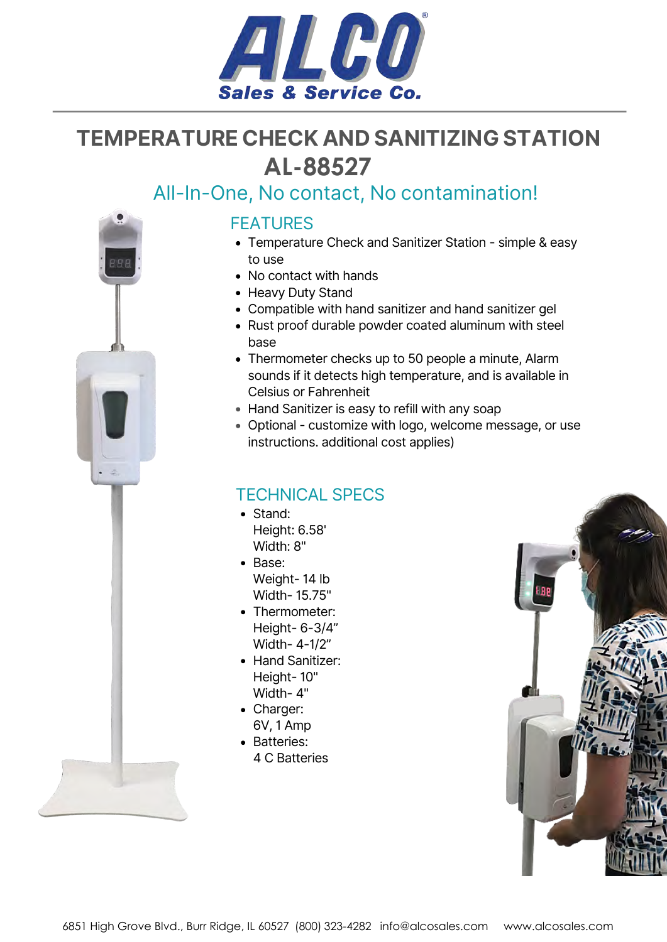

## **TEMPERATURE CHECK AND SANITIZING STATION [AL-88527](https://www.alcosales.com/products/88527.asp)**

## All-In-One, No contact, No contamination!



#### FEATURES

- Temperature Check and Sanitizer Station simple & easy to use
- No contact with hands
- Heavy Duty Stand
- Compatible with hand sanitizer and hand sanitizer gel
- Rust proof durable powder coated aluminum with steel base
- Thermometer checks up to 50 people a minute, Alarm sounds if it detects high temperature, and is available in Celsius or Fahrenheit
- Hand Sanitizer is easy to refill with any soap
- Optional customize with logo, welcome message, or use instructions. additional cost applies)

### TECHNICAL SPECS

- Stand: Height: 6.58' Width: 8"
- Base: Weight- 14 lb Width- 15.75"
- Thermometer: Height- 6-3/4" Width- 4-1/2"
- Hand Sanitizer: Height- 10" Width- 4"
- Charger: 6V, 1 Amp
- Batteries:
- 4 C Batteries